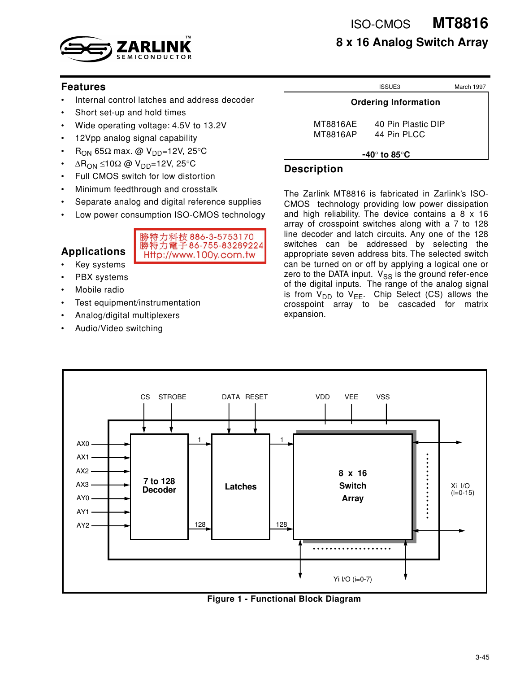

**MT8816 8 x 16 Analog Switch Array** ISO-CMOS

### **Features**

- Internal control latches and address decoder
- Short set-up and hold times
- Wide operating voltage: 4.5V to 13.2V
- 12Vpp analog signal capability
- $R_{ON}$  65Ω max. @ V<sub>DD</sub>=12V, 25°C
- $ΔR<sub>ON</sub> ≤10Ω @ V<sub>DD</sub>=12V, 25°C$
- Full CMOS switch for low distortion
- Minimum feedthrough and crosstalk
- Separate analog and digital reference supplies
- Low power consumption ISO-CMOS technology

# **Applications**



- Key systems
- PBX systems
- Mobile radio
- Test equipment/instrumentation
- Analog/digital multiplexers
- Audio/Video switching

|                             | ISSUE3                            | March 1997 |
|-----------------------------|-----------------------------------|------------|
| <b>Ordering Information</b> |                                   |            |
| MT8816AE<br>MT8816AP        | 40 Pin Plastic DIP<br>44 Pin PLCC |            |
|                             | =40° to 85°C                      |            |

### **Description**

The Zarlink MT8816 is fabricated in Zarlink's ISO-CMOS technology providing low power dissipation and high reliability. The device contains a 8 x 16 array of crosspoint switches along with a 7 to 128 line decoder and latch circuits. Any one of the 128 switches can be addressed by selecting the appropriate seven address bits. The selected switch can be turned on or off by applying a logical one or zero to the DATA input.  $V_{SS}$  is the ground refer-ence of the digital inputs. The range of the analog signal is from  $V_{DD}$  to  $V_{EE}$ . Chip Select (CS) allows the crosspoint array to be cascaded for matrix expansion.



**Figure 1 - Functional Block Diagram**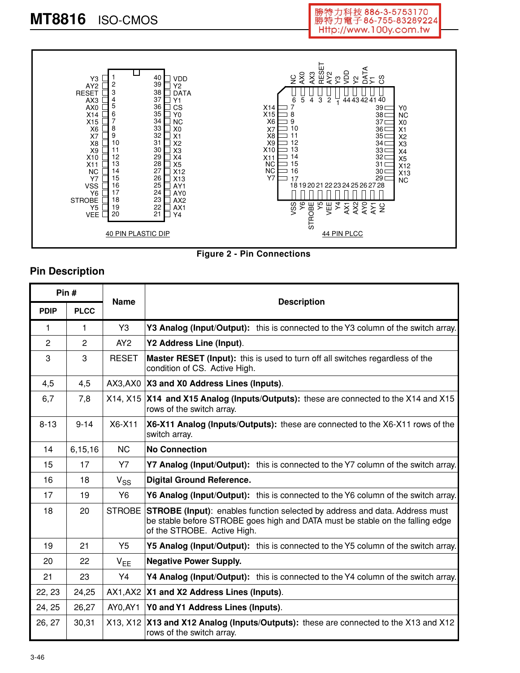



### **Pin Description**

|                | Pin#        | <b>Name</b>    |                                                                                                                                                                                             |
|----------------|-------------|----------------|---------------------------------------------------------------------------------------------------------------------------------------------------------------------------------------------|
| <b>PDIP</b>    | <b>PLCC</b> |                | <b>Description</b>                                                                                                                                                                          |
| 1              | 1           | Y3             | Y3 Analog (Input/Output): this is connected to the Y3 column of the switch array.                                                                                                           |
| $\overline{2}$ | 2           | AY2            | Y2 Address Line (Input).                                                                                                                                                                    |
| 3              | 3           | <b>RESET</b>   | Master RESET (Input): this is used to turn off all switches regardless of the<br>condition of CS. Active High.                                                                              |
| 4,5            | 4,5         |                | AX3,AX0   X3 and X0 Address Lines (Inputs).                                                                                                                                                 |
| 6,7            | 7,8         |                | X14, X15 X14 and X15 Analog (Inputs/Outputs): these are connected to the X14 and X15<br>rows of the switch array.                                                                           |
| $8 - 13$       | $9 - 14$    | X6-X11         | X6-X11 Analog (Inputs/Outputs): these are connected to the X6-X11 rows of the<br>switch array.                                                                                              |
| 14             | 6,15,16     | <b>NC</b>      | <b>No Connection</b>                                                                                                                                                                        |
| 15             | 17          | <b>Y7</b>      | Y7 Analog (Input/Output): this is connected to the Y7 column of the switch array.                                                                                                           |
| 16             | 18          | $V_{SS}$       | <b>Digital Ground Reference.</b>                                                                                                                                                            |
| 17             | 19          | Y6             | <b>Y6 Analog (Input/Output):</b> this is connected to the Y6 column of the switch array.                                                                                                    |
| 18             | 20          | <b>STROBE</b>  | STROBE (Input): enables function selected by address and data. Address must<br>be stable before STROBE goes high and DATA must be stable on the falling edge<br>of the STROBE. Active High. |
| 19             | 21          | Y <sub>5</sub> | Y5 Analog (Input/Output): this is connected to the Y5 column of the switch array.                                                                                                           |
| 20             | 22          | $V_{EE}$       | <b>Negative Power Supply.</b>                                                                                                                                                               |
| 21             | 23          | Y4             | Y4 Analog (Input/Output): this is connected to the Y4 column of the switch array.                                                                                                           |
| 22, 23         | 24,25       |                | AX1, AX2   X1 and X2 Address Lines (Inputs).                                                                                                                                                |
| 24, 25         | 26,27       | AY0,AY1        | Y0 and Y1 Address Lines (Inputs).                                                                                                                                                           |
| 26, 27         | 30,31       | X13, X12       | X13 and X12 Analog (Inputs/Outputs): these are connected to the X13 and X12<br>rows of the switch array.                                                                                    |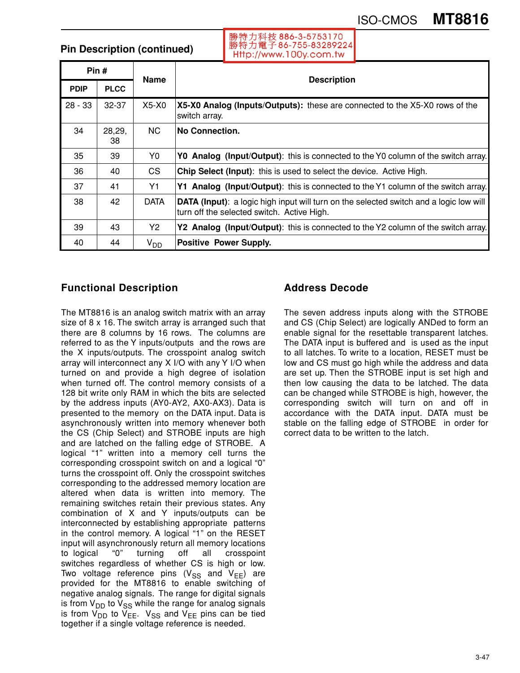# ISO-CMOS **MT8816**

**Pin Description (continued)**

勝特力科技 886-3-5753170 勝特力電子86-755-83289224 Http://www.100y.com.tw

| Pin#        |              | <b>Name</b> |                                                                                                                                              |  |  |  |  |
|-------------|--------------|-------------|----------------------------------------------------------------------------------------------------------------------------------------------|--|--|--|--|
| <b>PDIP</b> | <b>PLCC</b>  |             | <b>Description</b>                                                                                                                           |  |  |  |  |
| $28 - 33$   | $32 - 37$    | X5-X0       | X5-X0 Analog (Inputs/Outputs): these are connected to the X5-X0 rows of the<br>switch array.                                                 |  |  |  |  |
| 34          | 28,29,<br>38 | <b>NC</b>   | <b>No Connection.</b>                                                                                                                        |  |  |  |  |
| 35          | 39           | Y0          | YO Analog (Input/Output): this is connected to the YO column of the switch array.                                                            |  |  |  |  |
| 36          | 40           | CS.         | Chip Select (Input): this is used to select the device. Active High.                                                                         |  |  |  |  |
| 37          | 41           | Y1          | Y1 Analog (Input/Output): this is connected to the Y1 column of the switch array.                                                            |  |  |  |  |
| 38          | 42           | <b>DATA</b> | <b>DATA (Input)</b> : a logic high input will turn on the selected switch and a logic low will<br>turn off the selected switch. Active High. |  |  |  |  |
| 39          | 43           | Y2          | Y2 Analog (Input/Output): this is connected to the Y2 column of the switch array.                                                            |  |  |  |  |
| 40          | 44           | $V_{DD}$    | <b>Positive Power Supply.</b>                                                                                                                |  |  |  |  |

## **Functional Description**

The MT8816 is an analog switch matrix with an array size of 8 x 16. The switch array is arranged such that there are 8 columns by 16 rows. The columns are referred to as the Y inputs/outputs and the rows are the X inputs/outputs. The crosspoint analog switch array will interconnect any X I/O with any Y I/O when turned on and provide a high degree of isolation when turned off. The control memory consists of a 128 bit write only RAM in which the bits are selected by the address inputs (AY0-AY2, AX0-AX3). Data is presented to the memory on the DATA input. Data is asynchronously written into memory whenever both the CS (Chip Select) and STROBE inputs are high and are latched on the falling edge of STROBE. A logical "1" written into a memory cell turns the corresponding crosspoint switch on and a logical "0" turns the crosspoint off. Only the crosspoint switches corresponding to the addressed memory location are altered when data is written into memory. The remaining switches retain their previous states. Any combination of X and Y inputs/outputs can be interconnected by establishing appropriate patterns in the control memory. A logical "1" on the RESET input will asynchronously return all memory locations to logical "0" turning off all crosspoint switches regardless of whether CS is high or low. Two voltage reference pins ( $V_{SS}$  and  $V_{EE}$ ) are provided for the MT8816 to enable switching of negative analog signals. The range for digital signals is from  $V_{DD}$  to  $V_{SS}$  while the range for analog signals is from  $V_{DD}$  to  $V_{EE}$ .  $V_{SS}$  and  $V_{EE}$  pins can be tied together if a single voltage reference is needed.

# **Address Decode**

The seven address inputs along with the STROBE and CS (Chip Select) are logically ANDed to form an enable signal for the resettable transparent latches. The DATA input is buffered and is used as the input to all latches. To write to a location, RESET must be low and CS must go high while the address and data are set up. Then the STROBE input is set high and then low causing the data to be latched. The data can be changed while STROBE is high, however, the corresponding switch will turn on and off in accordance with the DATA input. DATA must be stable on the falling edge of STROBE in order for correct data to be written to the latch.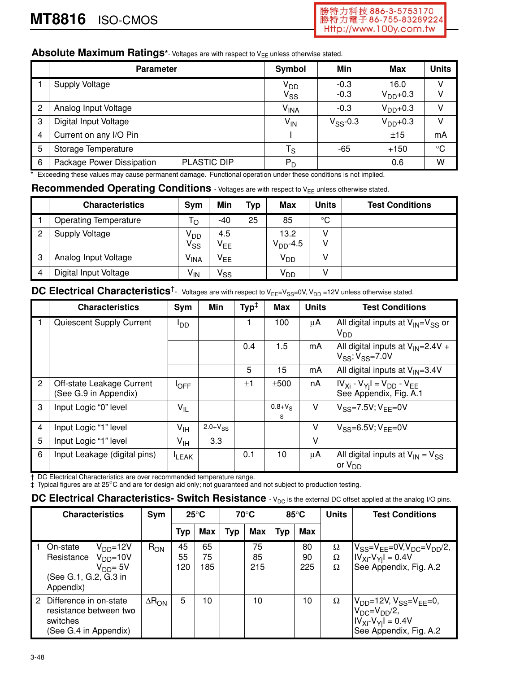### Absolute Maximum Ratings\*- Voltages are with respect to V<sub>EE</sub> unless otherwise stated.

|   | <b>Parameter</b>                                | Symbol                      | Min                    | Max               | <b>Units</b> |
|---|-------------------------------------------------|-----------------------------|------------------------|-------------------|--------------|
|   | <b>Supply Voltage</b>                           | V <sub>DD</sub><br>$V_{SS}$ | $-0.3$<br>$-0.3$       | 16.0<br>$VDD+0.3$ | V<br>v       |
| 2 | Analog Input Voltage                            | V <sub>INA</sub>            | $-0.3$                 | $V_{DD}$ +0.3     | V            |
| 3 | Digital Input Voltage                           | $V_{IN}$                    | $V$ <sub>SS</sub> -0.3 | $VDD+0.3$         | V            |
| 4 | Current on any I/O Pin                          |                             |                        | ±15               | mA           |
| 5 | Storage Temperature                             | $\mathsf{T}_\mathsf{S}$     | $-65$                  | $+150$            | $^{\circ}C$  |
| 6 | Package Power Dissipation<br><b>PLASTIC DIP</b> | $P_D$                       |                        | 0.6               | W            |

\* Exceeding these values may cause permanent damage. Functional operation under these conditions is not implied.

# **Recommended Operating Conditions** - Voltages are with respect to V<sub>EE</sub> unless otherwise stated.

|                | <b>Characteristics</b>       | Sym                        | Min             | <b>Typ</b> | Max                   | <b>Units</b> | <b>Test Conditions</b> |
|----------------|------------------------------|----------------------------|-----------------|------------|-----------------------|--------------|------------------------|
|                | <b>Operating Temperature</b> | $\mathsf{T}_\mathsf{O}$    | -40             | 25         | 85                    | $^{\circ}C$  |                        |
| $\overline{c}$ | <b>Supply Voltage</b>        | V <sub>DD</sub>            | 4.5             |            | 13.2                  | v            |                        |
|                |                              | $\mathsf{v}_{\mathsf{ss}}$ | $V_{EE}$        |            | $V_{DD}$ -4.5         | ٧            |                        |
| 3              | Analog Input Voltage         | V <sub>INA</sub>           | V <sub>EE</sub> |            | <b>V<sub>DD</sub></b> |              |                        |
| $\overline{4}$ | Digital Input Voltage        | $V_{IN}$                   | $V_{SS}$        |            | <b>V<sub>DD</sub></b> |              |                        |

# **DC Electrical Characteristics**<sup>†</sup>- Voltages are with respect to V<sub>EE</sub>=V<sub>SS</sub>=0V, V<sub>DD</sub> =12V unless otherwise stated.

|                | <b>Characteristics</b>                             | Sym                        | Min            | $\mathsf{Typ}^\ddagger$ | <b>Max</b>       | <b>Units</b> | <b>Test Conditions</b>                                               |
|----------------|----------------------------------------------------|----------------------------|----------------|-------------------------|------------------|--------------|----------------------------------------------------------------------|
| - 1            | Quiescent Supply Current                           | ססי                        |                |                         | 100              | μA           | All digital inputs at $V_{IN} = V_{SS}$ or<br>$V_{DD}$               |
|                |                                                    |                            |                | 0.4                     | 1.5              | mA           | All digital inputs at $V_{IN} = 2.4V +$<br>$V_{SS}$ ; $V_{SS}$ =7.0V |
|                |                                                    |                            |                | 5                       | 15               | mA           | All digital inputs at $V_{1N}=3.4V$                                  |
| 2              | Off-state Leakage Current<br>(See G.9 in Appendix) | $I_{\text{OFF}}$           |                | ±1                      | ±500             | nA           | $IV_{Xi}$ - $V_{Yj}I = V_{DD}$ - $V_{EE}$<br>See Appendix, Fig. A.1  |
| 3              | Input Logic "0" level                              | $\mathsf{V}_{\mathsf{IL}}$ |                |                         | $0.8 + V_S$<br>S | V            | $V_{SS} = 7.5V$ ; $V_{FF} = 0V$                                      |
| $\overline{4}$ | Input Logic "1" level                              | $V_{\text{IH}}$            | $2.0 + V_{SS}$ |                         |                  | V            | $V_{SS} = 6.5V; V_{FF} = 0V$                                         |
| 5              | Input Logic "1" level                              | $V_{\text{IH}}$            | 3.3            |                         |                  | V            |                                                                      |
| 6              | Input Leakage (digital pins)                       | <b>LEAK</b>                |                | 0.1                     | 10               | μA           | All digital inputs at $V_{IN} = V_{SS}$<br>or $V_{DD}$               |

† DC Electrical Characteristics are over recommended temperature range.

‡ Typical figures are at 25°C and are for design aid only; not guaranteed and not subject to production testing.

## **DC Electrical Characteristics- Switch Resistance** - V<sub>DC</sub> is the external DC offset applied at the analog I/O pins.

| <b>Characteristics</b>                                                                                       | Sym             |                 | $25^{\circ}$ C  |            | 70°C            | $85^{\circ}$ C |                 | <b>Units</b>       | <b>Test Conditions</b>                                                                                                    |
|--------------------------------------------------------------------------------------------------------------|-----------------|-----------------|-----------------|------------|-----------------|----------------|-----------------|--------------------|---------------------------------------------------------------------------------------------------------------------------|
|                                                                                                              |                 | Typ             | Max             | <b>Typ</b> | Max             | <b>Typ</b>     | <b>Max</b>      |                    |                                                                                                                           |
| On-state<br>$VDD=12V$<br>Resistance V <sub>DD</sub> =10V<br>$VDD = 5V$<br>(See G.1, G.2, G.3 in<br>Appendix) | $R_{ON}$        | 45<br>55<br>120 | 65<br>75<br>185 |            | 75<br>85<br>215 |                | 80<br>90<br>225 | Ω<br>Ω<br>$\Omega$ | $V_{SS} = V_{FF} = 0V, V_{DC} = V_{DD}/2,$<br>$ IV_{Xi} - V_{Yi}  = 0.4V$<br>See Appendix, Fig. A.2                       |
| 2 Difference in on-state<br>resistance between two<br>switches<br>(See G.4 in Appendix)                      | $\Delta R_{ON}$ | 5               | 10              |            | 10              |                | 10              | Ω                  | $V_{DD} = 12V, V_{SS} = V_{EE} = 0$ ,<br>$V_{DC} = V_{DD}/2$ ,<br>$ IV_{Xi}$ - $V_{Yi} $ = 0.4V<br>See Appendix, Fig. A.2 |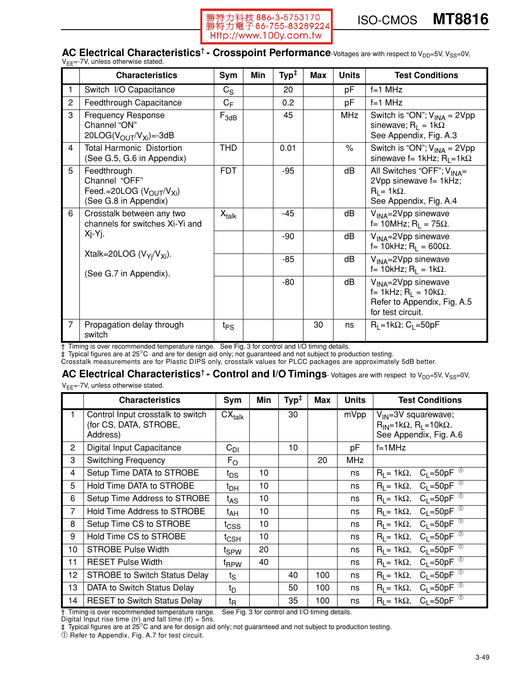

#### **AC Electrical Characteristics<sup>†</sup> - Crosspoint Performance**-Voltages are with respect to V<sub>DD</sub>=5V, V<sub>SS</sub>=0V, =-7V unless otherwise stated

|                | <b>Characteristics</b>                                                                                    | Sym               | Min | $\mathsf{Typ}^\ddagger$ | Max | <b>Units</b> | <b>Test Conditions</b>                                                                                                 |
|----------------|-----------------------------------------------------------------------------------------------------------|-------------------|-----|-------------------------|-----|--------------|------------------------------------------------------------------------------------------------------------------------|
|                | Switch I/O Capacitance                                                                                    | $C_S$             |     | 20                      |     | pF           | $f=1$ MHz                                                                                                              |
| $\overline{c}$ | Feedthrough Capacitance                                                                                   | $C_F$             |     | 0.2                     |     | pF           | $f=1$ MHz                                                                                                              |
| 3              | <b>Frequency Response</b><br>Channel "ON"<br>20LOG( $V_{\text{OUT}}/V_{\text{Xi}}$ ) = -3dB               | $F_{3dB}$         |     | 45                      |     | <b>MHz</b>   | Switch is "ON"; $V_{INA} = 2Vpp$<br>sinewave; $R_1 = 1k\Omega$<br>See Appendix, Fig. A.3                               |
| 4              | <b>Total Harmonic Distortion</b><br>(See G.5, G.6 in Appendix)                                            | <b>THD</b>        |     | 0.01                    |     | $\%$         | Switch is "ON"; $V_{INA} = 2Vpp$<br>sinewave f= 1kHz; $R_1 = 1k\Omega$                                                 |
| 5              | Feedthrough<br>Channel "OFF"<br>Feed.=20LOG (V <sub>OUT</sub> /V <sub>Xi</sub> )<br>(See G.8 in Appendix) | <b>FDT</b>        |     | $-95$                   |     | dB           | All Switches "OFF"; $V_{\text{INA}}=$<br>2Vpp sinewave f= 1kHz;<br>$R_1 = 1k\Omega$ .<br>See Appendix, Fig. A.4        |
| 6              | Crosstalk between any two<br>channels for switches Xi-Yi and                                              | $X_{\text{talk}}$ |     | -45                     |     | dB           | $V_{\text{INA}} = 2Vpp$ sinewave<br>f= 10MHz; $R_L$ = 75 $\Omega$ .                                                    |
|                | Xj-Yj.                                                                                                    |                   |     | $-90$                   |     | dB           | $V_{\text{INA}} = 2Vpp$ sinewave<br>$f = 10kHz$ ; R <sub>1</sub> = 600Ω.                                               |
|                | Xtalk=20LOG $(V_{Yi}/V_{Xi})$ .<br>(See G.7 in Appendix).                                                 |                   |     | $-85$                   |     | dB           | V <sub>INA</sub> =2Vpp sinewave<br>f= 10kHz; $R_1$ = 1k $\Omega$ .                                                     |
|                |                                                                                                           |                   |     | $-80$                   |     | dB           | V <sub>INA</sub> =2Vpp sinewave<br>f= 1kHz; $R_1$ = 10k $\Omega$ .<br>Refer to Appendix, Fig. A.5<br>for test circuit. |
| 7              | Propagation delay through<br>switch                                                                       | t <sub>PS</sub>   |     |                         | 30  | ns           | $R_1 = 1k\Omega$ ; C <sub>L</sub> =50pF                                                                                |

† Timing is over recommended temperature range. See Fig. 3 for control and I/O timing details. ‡ Typical figures are at 25°C and are for design aid only; not guaranteed and not subject to production testing.

Crosstalk measurements are for Plastic DIPS only, crosstalk values for PLCC packages are approximately 5dB better.

## AC Electrical Characteristics<sup>†</sup> - Control and I/O Timings-Voltages are with respect to V<sub>DD</sub>=5V, V<sub>SS</sub>=0V,

V<sub>EE</sub>=-7V, unless otherwise stated.

|    | <b>Characteristics</b>                                                  | Sym                                         | Min | $\mathsf{Typ}^\ddagger$ | Max | <b>Units</b> | <b>Test Conditions</b>                                                                                     |
|----|-------------------------------------------------------------------------|---------------------------------------------|-----|-------------------------|-----|--------------|------------------------------------------------------------------------------------------------------------|
|    | Control Input crosstalk to switch<br>(for CS, DATA, STROBE,<br>Address) | $\overline{\text{C}}\text{X}_{\text{talk}}$ |     | 30                      |     | mVpp         | V <sub>IN</sub> =3V squarewave;<br>$R_{IN}$ =1k $\Omega$ , $R_L$ =10k $\Omega$ .<br>See Appendix, Fig. A.6 |
| 2  | Digital Input Capacitance                                               | $C_{DI}$                                    |     | 10                      |     | pF           | $f=1$ MHz                                                                                                  |
| 3  | <b>Switching Frequency</b>                                              | $F_{O}$                                     |     |                         | 20  | <b>MHz</b>   |                                                                                                            |
| 4  | Setup Time DATA to STROBE                                               | t <sub>DS</sub>                             | 10  |                         |     | ns           | $R_L$ = 1k $\Omega$ , $C_L$ =50pF $\textcircled{\tiny{\textcircled{\tiny 1}}}$                             |
| 5  | Hold Time DATA to STROBE                                                | t <sub>DH</sub>                             | 10  |                         |     | ns           | $R_1 = 1k\Omega$ , $C_1 = 50pF^{-1}$                                                                       |
| 6  | Setup Time Address to STROBE                                            | t <sub>AS</sub>                             | 10  |                         |     | ns           | $R_L$ = 1k $\Omega$ , $C_L$ =50pF $\overline{0}$                                                           |
| 7  | <b>Hold Time Address to STROBE</b>                                      | t <sub>AH</sub>                             | 10  |                         |     | ns           | $R_L$ = 1k $\Omega$ , $C_L$ =50pF <sup>0</sup>                                                             |
| 8  | Setup Time CS to STROBE                                                 | t <sub>CSS</sub>                            | 10  |                         |     | ns           | $R_L$ = 1k $\Omega$ , $C_L$ =50pF <sup>0</sup>                                                             |
| 9  | Hold Time CS to STROBE                                                  | t <sub>CSH</sub>                            | 10  |                         |     | ns           | $R_L$ = 1kΩ, C <sub>L</sub> = 50pF <sup>①</sup>                                                            |
| 10 | <b>STROBE Pulse Width</b>                                               | tspw                                        | 20  |                         |     | ns           | $R_L$ = 1k $\Omega$ , $C_L$ =50pF $\overline{0}$                                                           |
| 11 | <b>RESET Pulse Width</b>                                                | t <sub>RPW</sub>                            | 40  |                         |     | ns           | $R_L$ = 1k $\Omega$ , $C_L$ =50pF $\overline{0}$                                                           |
| 12 | <b>STROBE to Switch Status Delay</b>                                    | ts                                          |     | 40                      | 100 | ns           | $R_L$ = 1k $\Omega$ , $C_L$ =50pF <sup>0</sup>                                                             |
| 13 | DATA to Switch Status Delay                                             | t <sub>D</sub>                              |     | 50                      | 100 | ns           | $R_L$ = 1k $\Omega$ , $C_L$ =50pF <sup>0</sup>                                                             |
| 14 | <b>RESET to Switch Status Delay</b>                                     | t <sub>R</sub>                              |     | 35                      | 100 | ns           | $R_L = 1k\Omega$ , $C_l = 50pF^{-1}$                                                                       |

† Timing is over recommended temperature range. See Fig. 3 for control and I/O timing details.

Digital Input rise time (tr) and fall time (tf) = 5ns. ‡ Typical figures are at 25°C and are for design aid only; not guaranteed and not subject to production testing.

➀ Refer to Appendix, Fig. A.7 for test circuit.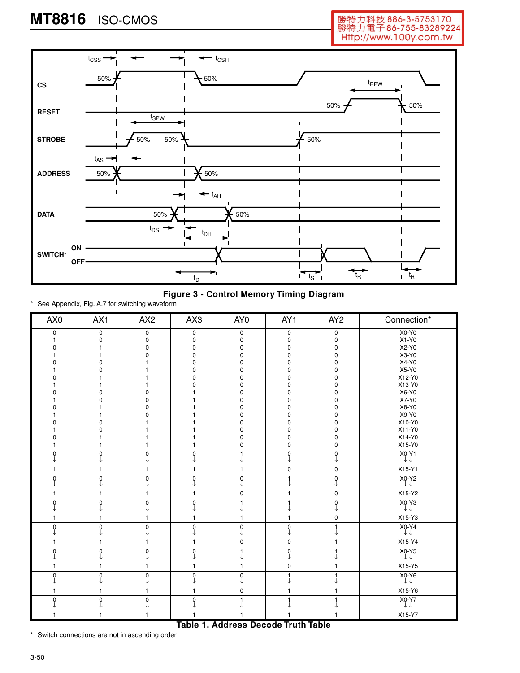# **MT8816** ISO-CMOS

勝特力科技 886-3-5753170<br>勝特力電子 86-755-83289224 Http://www.100y.com.tw



**Figure 3 - Control Memory Timing Diagram**

\* See Appendix, Fig. A.7 for switching waveform

| AX0      | AX1      | AX <sub>2</sub> | AX3          | AY <sub>0</sub> | AY <sub>1</sub> | AY <sub>2</sub>                                | Connection*                          |
|----------|----------|-----------------|--------------|-----------------|-----------------|------------------------------------------------|--------------------------------------|
| 0        | 0        | 0               | 0            | 0               | 0               | $\pmb{0}$                                      | $X0-Y0$                              |
|          | $\Omega$ | 0               | 0            | $\mathsf 0$     | 0               | 0                                              | $X1-Y0$                              |
| n        |          | O               | 0            | 0               | 0               | 0                                              | X2-Y0                                |
|          |          |                 | <sup>0</sup> | 0               | 0               | 0                                              | X3-Y0                                |
|          |          |                 | <sup>n</sup> | 0               | n               | $\Omega$                                       | X4-Y0                                |
|          |          |                 | n            | 0               | O               | 0                                              | X5-Y0                                |
|          |          |                 | n            | 0               | 0               | 0                                              | X12-Y0                               |
|          |          |                 |              | 0               | n               | 0                                              | X13-Y0                               |
|          |          |                 |              | 0               | O               | 0                                              | X6-Y0                                |
|          | n        |                 |              | 0               | $\Omega$        | 0                                              | X7-Y0                                |
|          |          |                 |              | 0               | O               | 0                                              | X8-Y0                                |
|          |          |                 |              | 0               | O               | 0                                              | X9-Y0                                |
|          |          |                 |              | 0               | 0               | 0                                              | X10-Y0                               |
|          |          |                 |              | 0               | 0               | 0                                              | X11-Y0                               |
| O        |          |                 |              | 0               | 0               | 0                                              | X14-Y0                               |
|          |          |                 |              | 0               | 0               | 0                                              | X15-Y0                               |
| 0        | $\Omega$ | $\Omega$        | $\Omega$     |                 | 0               | $\begin{smallmatrix} 0 \\ 1 \end{smallmatrix}$ | $X_0-Y_1$                            |
|          |          |                 |              |                 |                 |                                                |                                      |
|          |          |                 | 1            |                 | 0               | 0                                              | X15-Y1                               |
| $\Omega$ | $\Omega$ | $\Omega$        | 0            | 0               |                 | $\mathbf 0$                                    | $X_0-Y_2$                            |
|          |          |                 |              |                 |                 |                                                |                                      |
|          | 1        |                 | 1            | $\mathsf 0$     | 1               | $\mathbf 0$                                    | X15-Y2                               |
| $\Omega$ | $\Omega$ | $\Omega$        | $\mathbf 0$  |                 |                 | $\mathbf 0$                                    | X <sub>0</sub> -Y <sub>3</sub><br>↓↓ |
|          |          |                 |              |                 |                 |                                                |                                      |
|          |          |                 | 1            |                 |                 | 0                                              | X15-Y3                               |
| $\Omega$ | $\Omega$ | $\Omega$        | $\pmb{0}$    | $\mathbf 0$     | 0               | 1                                              | X <sub>0</sub> -Y <sub>4</sub><br>↓↓ |
|          |          |                 |              | ↓               |                 |                                                |                                      |
|          |          |                 |              | 0               | 0               | 1                                              | X15-Y4                               |
| $\Omega$ | $\Omega$ | 0               | $\mathbf 0$  |                 | 0               |                                                | $X_0-Y5$                             |
|          |          |                 |              |                 |                 |                                                |                                      |
|          |          |                 |              |                 | 0               |                                                | X15-Y5                               |
| $\Omega$ | $\Omega$ | $\Omega$        | 0            | $\mathbf 0$     |                 |                                                | $X_0-Y_6$                            |
|          |          |                 |              | $\mathsf 0$     |                 |                                                | X15-Y6                               |
|          | $\Omega$ | 0               | $\mathbf 0$  |                 |                 |                                                |                                      |
| $\Omega$ |          |                 |              |                 |                 |                                                | $X_0-Y7$                             |
|          |          |                 |              |                 |                 |                                                | X15-Y7                               |

\* Switch connections are not in ascending order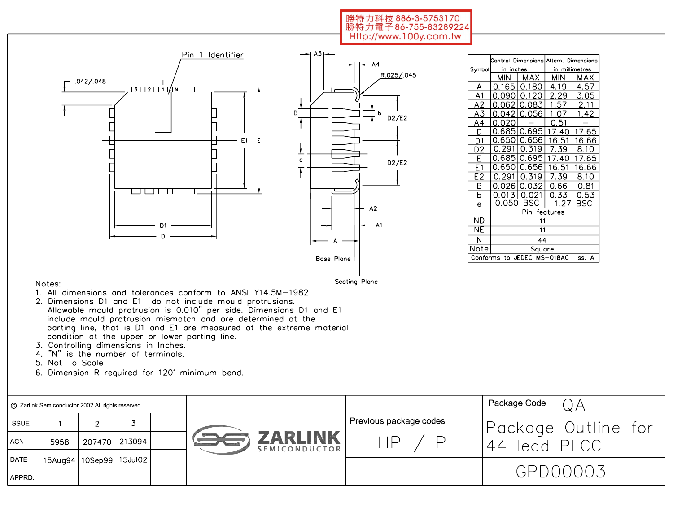#### 勝特力科技 886-3-5753170 勝特力電子86-755-83289224 Http://www.100y.com.tw



|                |            |                            | Control Dimensions Altern, Dimensions |             |  |  |  |  |
|----------------|------------|----------------------------|---------------------------------------|-------------|--|--|--|--|
| Symbol         | in inches  |                            | in millimetres                        |             |  |  |  |  |
|                | <b>MIN</b> | MAX                        | MIN                                   | MAX         |  |  |  |  |
| Α              | 0.165      | 0.180                      | 4.19                                  | 4.57        |  |  |  |  |
| A1             | 0.090      | 0.120                      | 2.29                                  | 3.05        |  |  |  |  |
| A2             | 0.062      | 0.083                      | 1.57                                  | <u>2.11</u> |  |  |  |  |
| <u>A3</u>      | 0.042      | 0.056                      | 1.07                                  | <u>1.42</u> |  |  |  |  |
| A4             | 0.O2       |                            | 0.51                                  |             |  |  |  |  |
|                | 0.685      | 10.695                     | 17.40                                 | 17.65       |  |  |  |  |
| D1             | 0.650      | 0.656                      | 16.51                                 | 16.66       |  |  |  |  |
| D2             | 0.291      | 0.319                      | 7.39                                  | 8.10        |  |  |  |  |
| F              | 0.685      | 0.695                      | 17.40                                 | 7.65<br>1   |  |  |  |  |
| E1             | 0.650      | .656<br>0                  | 16.51                                 | 16.66       |  |  |  |  |
| E <sub>2</sub> | 0.29       | 0.319                      | 7.39                                  | 8.10        |  |  |  |  |
| В              | 0.026      | 0.032                      | 0.66                                  | 0.81        |  |  |  |  |
| b              | 0.013      | 0.021                      | 0.33                                  | <u>0.53</u> |  |  |  |  |
| e              | 0.050      | BSC                        | 1.27                                  | BSC         |  |  |  |  |
|                |            | Pin                        | features                              |             |  |  |  |  |
| ND             |            | 11                         |                                       |             |  |  |  |  |
| NE             | 11         |                            |                                       |             |  |  |  |  |
| N              | 44         |                            |                                       |             |  |  |  |  |
| Note           |            | Square                     |                                       |             |  |  |  |  |
|                |            | Conforms to JEDEC MS-018AC |                                       | lss.<br>А   |  |  |  |  |

#### Notes:

Seating Plane

- 1. All dimensions and tolerances conform to ANSI Y14.5M-1982
- 2. Dimensions D1 and E1 do not include mould protrusions. Allowable mould protrusion is 0.010" per side. Dimensions D1 and E1 include mould protrusion mismatch and are determined at the parting line, that is D1 and E1 are measured at the extreme material condition at the upper or lower parting line.
- 3. Controlling dimensions in Inches.
- 4. "N" is the number of terminals.
- 5. Not To Scale
- 6. Dimension R required for 120° minimum bend.

| ⓒ Zarlink Semiconductor 2002 All rights reserved |                             |        |        |                                 |                        | Package Code        |
|--------------------------------------------------|-----------------------------|--------|--------|---------------------------------|------------------------|---------------------|
| ISSUE                                            |                             |        |        |                                 | Previous package codes | Package Outline for |
| l ACN.                                           | 5958                        | 207470 | 213094 | <b>ZARLINK</b><br>SEMICONDUCTOR |                        | lead PLCC<br>44     |
| <b>DATE</b>                                      | 15Aug94   10Sep99   15Jul02 |        |        |                                 |                        |                     |
| l APPRD.                                         |                             |        |        |                                 |                        | GPD00003            |